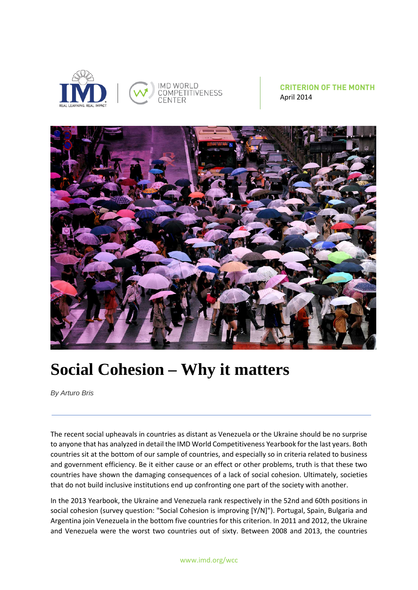

## **CRITERION OF THE MONTH** April 2014



## **Social Cohesion – Why it matters**

*By Arturo Bris*

The recent social upheavals in countries as distant as Venezuela or the Ukraine should be no surprise to anyone that has analyzed in detail the IMD World Competitiveness Yearbook for the last years. Both countries sit at the bottom of our sample of countries, and especially so in criteria related to business and government efficiency. Be it either cause or an effect or other problems, truth is that these two countries have shown the damaging consequences of a lack of social cohesion. Ultimately, societies that do not build inclusive institutions end up confronting one part of the society with another.

In the 2013 Yearbook, the Ukraine and Venezuela rank respectively in the 52nd and 60th positions in social cohesion (survey question: "Social Cohesion is improving [Y/N]"). Portugal, Spain, Bulgaria and Argentina join Venezuela in the bottom five countries for this criterion. In 2011 and 2012, the Ukraine and Venezuela were the worst two countries out of sixty. Between 2008 and 2013, the countries